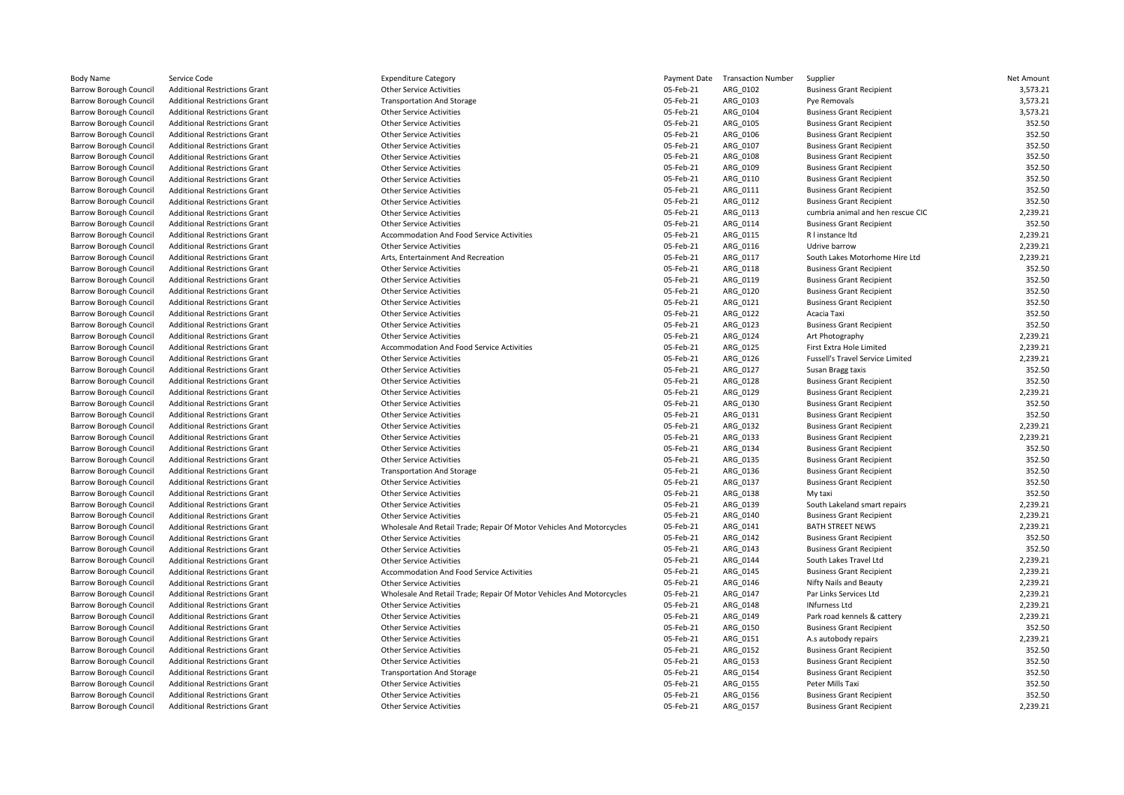| <b>Body Name</b>                                               | Service Code                                                                 | <b>Expenditure Category</b>                                          | Payment Date           | <b>Transaction Number</b> | Supplier                                                       | Net Amount         |
|----------------------------------------------------------------|------------------------------------------------------------------------------|----------------------------------------------------------------------|------------------------|---------------------------|----------------------------------------------------------------|--------------------|
| <b>Barrow Borough Council</b>                                  | <b>Additional Restrictions Grant</b>                                         | <b>Other Service Activities</b>                                      | 05-Feb-21              | ARG_0102                  | <b>Business Grant Recipient</b>                                | 3,573.21           |
| <b>Barrow Borough Council</b>                                  | <b>Additional Restrictions Grant</b>                                         | <b>Transportation And Storage</b>                                    | 05-Feb-21              | ARG_0103                  | Pve Removals                                                   | 3,573.21           |
| <b>Barrow Borough Council</b>                                  | <b>Additional Restrictions Grant</b>                                         | <b>Other Service Activities</b>                                      | 05-Feb-21              | ARG 0104                  | <b>Business Grant Recipient</b>                                | 3,573.21           |
| Barrow Borough Council                                         | <b>Additional Restrictions Grant</b>                                         | <b>Other Service Activities</b>                                      | 05-Feb-21              | ARG 0105                  | <b>Business Grant Recipient</b>                                | 352.50             |
| <b>Barrow Borough Council</b>                                  | <b>Additional Restrictions Grant</b>                                         | <b>Other Service Activities</b>                                      | 05-Feb-21              | ARG 0106                  | <b>Business Grant Recipient</b>                                | 352.50             |
| <b>Barrow Borough Council</b>                                  | <b>Additional Restrictions Grant</b>                                         | <b>Other Service Activities</b>                                      | 05-Feb-21              | ARG_0107                  | <b>Business Grant Recipient</b>                                | 352.50             |
| Barrow Borough Council                                         | <b>Additional Restrictions Grant</b>                                         | <b>Other Service Activities</b>                                      | 05-Feb-21              | ARG_0108                  | <b>Business Grant Recipient</b>                                | 352.50             |
| <b>Barrow Borough Council</b>                                  | <b>Additional Restrictions Grant</b>                                         | <b>Other Service Activities</b>                                      | 05-Feb-21              | ARG 0109                  | <b>Business Grant Recipient</b>                                | 352.50             |
| Barrow Borough Council                                         | <b>Additional Restrictions Grant</b>                                         | <b>Other Service Activities</b>                                      | 05-Feb-21              | ARG_0110                  | <b>Business Grant Recipient</b>                                | 352.50             |
| <b>Barrow Borough Council</b>                                  | <b>Additional Restrictions Grant</b>                                         | <b>Other Service Activities</b>                                      | 05-Feb-21              | ARG_0111                  | <b>Business Grant Recipient</b>                                | 352.50             |
| <b>Barrow Borough Council</b>                                  | <b>Additional Restrictions Grant</b>                                         | <b>Other Service Activities</b>                                      | 05-Feb-21              | ARG 0112                  | <b>Business Grant Recipient</b>                                | 352.50             |
| <b>Barrow Borough Council</b>                                  | <b>Additional Restrictions Grant</b>                                         | <b>Other Service Activities</b>                                      | 05-Feb-21              | ARG 0113                  | cumbria animal and hen rescue CIC                              | 2,239.21           |
| <b>Barrow Borough Council</b>                                  | <b>Additional Restrictions Grant</b>                                         | <b>Other Service Activities</b>                                      | 05-Feb-21              | ARG 0114                  | <b>Business Grant Recipient</b>                                | 352.50             |
| Barrow Borough Council                                         | <b>Additional Restrictions Grant</b>                                         | Accommodation And Food Service Activities                            | 05-Feb-21              | ARG_0115                  | R I instance Itd                                               | 2,239.21           |
| Barrow Borough Council                                         | <b>Additional Restrictions Grant</b>                                         | <b>Other Service Activities</b>                                      | 05-Feb-21              | ARG_0116                  | Udrive barrow                                                  | 2,239.21           |
| Barrow Borough Council                                         | <b>Additional Restrictions Grant</b>                                         | Arts, Entertainment And Recreation                                   | 05-Feb-21              | ARG 0117                  | South Lakes Motorhome Hire Ltd                                 | 2,239.21           |
| <b>Barrow Borough Council</b>                                  | <b>Additional Restrictions Grant</b>                                         | <b>Other Service Activities</b>                                      | 05-Feb-21              | ARG 0118                  | <b>Business Grant Recipient</b>                                | 352.50             |
| <b>Barrow Borough Council</b>                                  | <b>Additional Restrictions Grant</b>                                         | <b>Other Service Activities</b>                                      | 05-Feb-21              | ARG 0119                  | <b>Business Grant Recipient</b>                                | 352.50             |
| Barrow Borough Council                                         | <b>Additional Restrictions Grant</b>                                         | <b>Other Service Activities</b>                                      | 05-Feb-21              | ARG_0120                  | <b>Business Grant Recipient</b>                                | 352.50             |
| <b>Barrow Borough Council</b>                                  | <b>Additional Restrictions Grant</b>                                         | <b>Other Service Activities</b>                                      | 05-Feb-21              | ARG 0121                  | <b>Business Grant Recipient</b>                                | 352.50             |
| Barrow Borough Council                                         | <b>Additional Restrictions Grant</b>                                         | <b>Other Service Activities</b>                                      | 05-Feb-21              | ARG 0122                  | Acacia Taxi                                                    | 352.50             |
| <b>Barrow Borough Council</b>                                  | <b>Additional Restrictions Grant</b>                                         | <b>Other Service Activities</b>                                      | 05-Feb-21              | ARG_0123                  | <b>Business Grant Recipient</b>                                | 352.50             |
| <b>Barrow Borough Council</b>                                  | <b>Additional Restrictions Grant</b>                                         | <b>Other Service Activities</b>                                      | 05-Feb-21              | ARG 0124                  | Art Photography                                                | 2,239.21           |
| Barrow Borough Council                                         | <b>Additional Restrictions Grant</b>                                         | Accommodation And Food Service Activities                            | 05-Feb-21              | ARG 0125                  | First Extra Hole Limited                                       | 2,239.21           |
| <b>Barrow Borough Council</b>                                  | <b>Additional Restrictions Grant</b>                                         | <b>Other Service Activities</b>                                      | 05-Feb-21              | ARG 0126                  | <b>Fussell's Travel Service Limited</b>                        | 2,239.21           |
| <b>Barrow Borough Council</b>                                  | <b>Additional Restrictions Grant</b>                                         | <b>Other Service Activities</b>                                      | 05-Feb-21              | ARG_0127                  | Susan Bragg taxis                                              | 352.50             |
| <b>Barrow Borough Council</b>                                  | <b>Additional Restrictions Grant</b>                                         | <b>Other Service Activities</b>                                      | 05-Feb-21              | ARG 0128                  | <b>Business Grant Recipient</b>                                | 352.50             |
| Barrow Borough Council                                         | <b>Additional Restrictions Grant</b>                                         | <b>Other Service Activities</b>                                      | 05-Feb-21              | ARG 0129                  | <b>Business Grant Recipient</b>                                | 2,239.21           |
| <b>Barrow Borough Council</b>                                  | <b>Additional Restrictions Grant</b>                                         | <b>Other Service Activities</b>                                      | 05-Feb-21              | ARG_0130                  | <b>Business Grant Recipient</b>                                | 352.50             |
| <b>Barrow Borough Council</b>                                  | <b>Additional Restrictions Grant</b>                                         | <b>Other Service Activities</b>                                      | 05-Feb-21              | ARG 0131                  | <b>Business Grant Recipient</b>                                | 352.50             |
| <b>Barrow Borough Council</b>                                  | <b>Additional Restrictions Grant</b>                                         | <b>Other Service Activities</b>                                      | 05-Feb-21              | ARG_0132                  | <b>Business Grant Recipient</b>                                | 2,239.21           |
| <b>Barrow Borough Council</b>                                  | <b>Additional Restrictions Grant</b>                                         | <b>Other Service Activities</b>                                      | 05-Feb-21              | ARG 0133                  | <b>Business Grant Recipient</b>                                | 2,239.21           |
| <b>Barrow Borough Council</b>                                  | <b>Additional Restrictions Grant</b>                                         | <b>Other Service Activities</b>                                      | 05-Feb-21              | ARG_0134                  | <b>Business Grant Recipient</b>                                | 352.50             |
| <b>Barrow Borough Council</b>                                  | <b>Additional Restrictions Grant</b>                                         | <b>Other Service Activities</b>                                      | 05-Feb-21              | ARG_0135                  | <b>Business Grant Recipient</b>                                | 352.50             |
| <b>Barrow Borough Council</b>                                  | <b>Additional Restrictions Grant</b>                                         | <b>Transportation And Storage</b>                                    | 05-Feb-21              | ARG 0136                  | <b>Business Grant Recipient</b>                                | 352.50             |
| <b>Barrow Borough Council</b>                                  | <b>Additional Restrictions Grant</b>                                         | <b>Other Service Activities</b>                                      | 05-Feb-21              | ARG 0137                  | <b>Business Grant Recipient</b>                                | 352.50             |
| <b>Barrow Borough Council</b>                                  | <b>Additional Restrictions Grant</b>                                         | <b>Other Service Activities</b>                                      | 05-Feb-21              | ARG 0138                  | My taxi                                                        | 352.50             |
| Barrow Borough Council                                         | <b>Additional Restrictions Grant</b>                                         | <b>Other Service Activities</b>                                      | 05-Feb-21              | ARG_0139                  | South Lakeland smart repairs                                   | 2,239.21           |
| <b>Barrow Borough Council</b>                                  | <b>Additional Restrictions Grant</b>                                         | <b>Other Service Activities</b>                                      | 05-Feb-21              | ARG 0140                  | <b>Business Grant Recipient</b>                                | 2,239.21           |
| <b>Barrow Borough Council</b>                                  | <b>Additional Restrictions Grant</b>                                         | Wholesale And Retail Trade; Repair Of Motor Vehicles And Motorcycles | 05-Feb-21              | ARG 0141                  | <b>BATH STREET NEWS</b>                                        | 2,239.21           |
| <b>Barrow Borough Council</b>                                  | <b>Additional Restrictions Grant</b>                                         | <b>Other Service Activities</b>                                      | 05-Feb-21              | ARG_0142                  | <b>Business Grant Recipient</b>                                | 352.50             |
| <b>Barrow Borough Council</b>                                  | <b>Additional Restrictions Grant</b>                                         | <b>Other Service Activities</b>                                      | 05-Feb-21              | ARG 0143                  | <b>Business Grant Recipient</b>                                | 352.50             |
| Barrow Borough Council                                         | <b>Additional Restrictions Grant</b>                                         | <b>Other Service Activities</b>                                      | 05-Feb-21              | ARG_0144                  | South Lakes Travel Ltd                                         | 2,239.21           |
| <b>Barrow Borough Council</b>                                  | <b>Additional Restrictions Grant</b>                                         | Accommodation And Food Service Activities                            | 05-Feb-21              | ARG 0145                  | <b>Business Grant Recipient</b>                                | 2,239.21           |
| <b>Barrow Borough Council</b>                                  | <b>Additional Restrictions Grant</b>                                         | <b>Other Service Activities</b>                                      | 05-Feb-21              | ARG 0146                  | Nifty Nails and Beauty                                         | 2,239.21           |
| <b>Barrow Borough Council</b>                                  | <b>Additional Restrictions Grant</b>                                         | Wholesale And Retail Trade; Repair Of Motor Vehicles And Motorcycles | 05-Feb-21              | ARG_0147                  | Par Links Services Ltd                                         | 2,239.21           |
| <b>Barrow Borough Council</b>                                  |                                                                              |                                                                      | 05-Feb-21              | ARG 0148                  | <b>INfurness Ltd</b>                                           | 2,239.21           |
|                                                                | <b>Additional Restrictions Grant</b>                                         | <b>Other Service Activities</b>                                      |                        |                           |                                                                |                    |
| <b>Barrow Borough Council</b><br><b>Barrow Borough Council</b> | <b>Additional Restrictions Grant</b><br><b>Additional Restrictions Grant</b> | <b>Other Service Activities</b><br><b>Other Service Activities</b>   | 05-Feb-21<br>05-Feb-21 | ARG 0149<br>ARG 0150      | Park road kennels & cattery<br><b>Business Grant Recipient</b> | 2,239.21<br>352.50 |
|                                                                |                                                                              |                                                                      |                        |                           |                                                                |                    |
| <b>Barrow Borough Council</b>                                  | <b>Additional Restrictions Grant</b>                                         | <b>Other Service Activities</b>                                      | 05-Feb-21              | ARG_0151                  | A.s autobody repairs                                           | 2,239.21           |
| <b>Barrow Borough Council</b>                                  | <b>Additional Restrictions Grant</b>                                         | <b>Other Service Activities</b>                                      | 05-Feb-21<br>05-Feb-21 | ARG 0152                  | <b>Business Grant Recipient</b>                                | 352.50<br>352.50   |
| Barrow Borough Council                                         | <b>Additional Restrictions Grant</b>                                         | <b>Other Service Activities</b>                                      |                        | ARG 0153                  | <b>Business Grant Recipient</b>                                |                    |
| <b>Barrow Borough Council</b>                                  | <b>Additional Restrictions Grant</b>                                         | <b>Transportation And Storage</b>                                    | 05-Feb-21              | ARG 0154                  | <b>Business Grant Recipient</b>                                | 352.50             |
| <b>Barrow Borough Council</b>                                  | <b>Additional Restrictions Grant</b>                                         | <b>Other Service Activities</b>                                      | 05-Feb-21              | ARG_0155                  | Peter Mills Taxi                                               | 352.50             |
| <b>Barrow Borough Council</b>                                  | <b>Additional Restrictions Grant</b>                                         | <b>Other Service Activities</b>                                      | 05-Feb-21              | ARG_0156                  | <b>Business Grant Recipient</b>                                | 352.50             |
| <b>Barrow Borough Council</b>                                  | <b>Additional Restrictions Grant</b>                                         | <b>Other Service Activities</b>                                      | 05-Feb-21              | ARG 0157                  | <b>Business Grant Recipient</b>                                | 2,239.21           |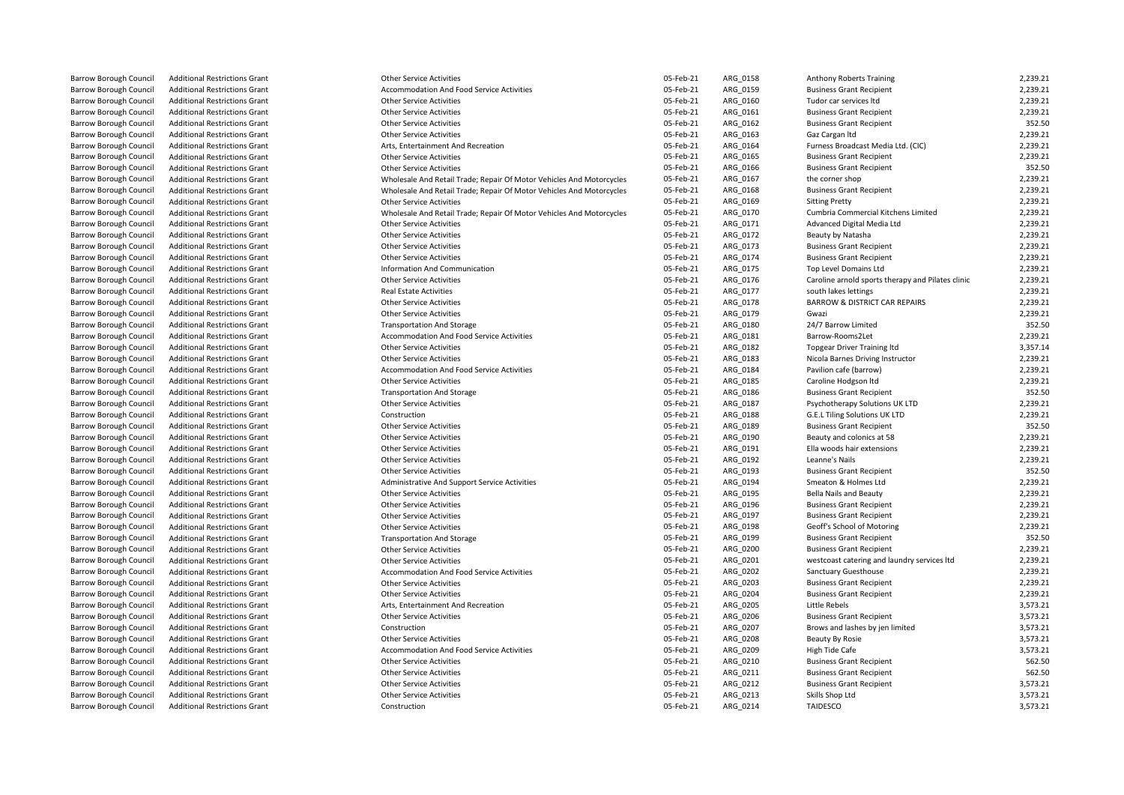| il       | <b>Additional Restrictions Grant</b>                                         |
|----------|------------------------------------------------------------------------------|
| il       | <b>Additional Restrictions Grant</b>                                         |
| il.      | <b>Additional Restrictions Grant</b>                                         |
| il.      | <b>Additional Restrictions Grant</b>                                         |
| ï        | <b>Additional Restrictions Grant</b>                                         |
| il.      | <b>Additional Restrictions Grant</b>                                         |
| il.      | <b>Additional Restrictions Grant</b>                                         |
| ï        | <b>Additional Restrictions Grant</b>                                         |
| ï        | <b>Additional Restrictions Grant</b>                                         |
| il.      | <b>Additional Restrictions Grant</b>                                         |
| il.      | <b>Additional Restrictions Grant</b>                                         |
| ï        | <b>Additional Restrictions Grant</b>                                         |
| il.      | <b>Additional Restrictions Grant</b>                                         |
| ï        | <b>Additional Restrictions Grant</b>                                         |
| il       | <b>Additional Restrictions Grant</b>                                         |
| il.      | <b>Additional Restrictions Grant</b>                                         |
| il.      | <b>Additional Restrictions Grant</b>                                         |
| il.      | <b>Additional Restrictions Grant</b>                                         |
| il.      | <b>Additional Restrictions Grant</b>                                         |
| ï        | <b>Additional Restrictions Grant</b>                                         |
| ï        | <b>Additional Restrictions Grant</b>                                         |
| il.      | <b>Additional Restrictions Grant</b>                                         |
| il       | <b>Additional Restrictions Grant</b>                                         |
| ï        | <b>Additional Restrictions Grant</b>                                         |
| il.      | <b>Additional Restrictions Grant</b>                                         |
| il.      | <b>Additional Restrictions Grant</b>                                         |
| ï        | <b>Additional Restrictions Grant</b>                                         |
| il.      | <b>Additional Restrictions Grant</b>                                         |
| il.      | <b>Additional Restrictions Grant</b>                                         |
| il       | <b>Additional Restrictions Grant</b>                                         |
| ï        | <b>Additional Restrictions Grant</b>                                         |
| il.      | <b>Additional Restrictions Grant</b>                                         |
| il.      | <b>Additional Restrictions Grant</b>                                         |
| il.      | <b>Additional Restrictions Grant</b>                                         |
| il.      | <b>Additional Restrictions Grant</b>                                         |
| il.      | <b>Additional Restrictions Grant</b>                                         |
| il.      | <b>Additional Restrictions Grant</b>                                         |
| il.      | <b>Additional Restrictions Grant</b>                                         |
| ï        | <b>Additional Restrictions Grant</b>                                         |
| ï        | <b>Additional Restrictions Grant</b>                                         |
| il.      | <b>Additional Restrictions Grant</b>                                         |
| il.      | <b>Additional Restrictions Grant</b>                                         |
| ï        | <b>Additional Restrictions Grant</b>                                         |
| il.      | <b>Additional Restrictions Grant</b>                                         |
| il.      | <b>Additional Restrictions Grant</b>                                         |
| il       | <b>Additional Restrictions Grant</b>                                         |
| ï<br>il. | <b>Additional Restrictions Grant</b>                                         |
|          | <b>Additional Restrictions Grant</b>                                         |
| il       | <b>Additional Restrictions Grant</b>                                         |
| ï<br>il. | <b>Additional Restrictions Grant</b>                                         |
| il.      | <b>Additional Restrictions Grant</b><br><b>Additional Restrictions Grant</b> |
| il.      | <b>Additional Restrictions Grant</b>                                         |
| il       | <b>Additional Restrictions Grant</b>                                         |
| il       | <b>Additional Restrictions Grant</b>                                         |
| il       | <b>Additional Restrictions Grant</b>                                         |
| ä        | Additional Doctrictions Cr                                                   |

| <b>Barrow Borough Council</b> | <b>Additional Restrictions Grant</b>                                         | <b>Other Service Activities</b>                                      | 05-Feb-21 | ARG 0158 | Anthony Roberts Training                          | 2,239.21 |
|-------------------------------|------------------------------------------------------------------------------|----------------------------------------------------------------------|-----------|----------|---------------------------------------------------|----------|
| Barrow Borough Council        | <b>Additional Restrictions Grant</b>                                         | Accommodation And Food Service Activities                            | 05-Feb-21 | ARG_0159 | <b>Business Grant Recipient</b>                   | 2,239.21 |
| <b>Barrow Borough Council</b> | <b>Additional Restrictions Grant</b>                                         | <b>Other Service Activities</b>                                      | 05-Feb-21 | ARG 0160 | Tudor car services Itd                            | 2,239.21 |
| Barrow Borough Council        | <b>Additional Restrictions Grant</b>                                         | <b>Other Service Activities</b>                                      | 05-Feb-21 | ARG_0161 | <b>Business Grant Recipient</b>                   | 2,239.21 |
| Barrow Borough Council        | <b>Additional Restrictions Grant</b>                                         | <b>Other Service Activities</b>                                      | 05-Feb-21 | ARG 0162 | <b>Business Grant Recipient</b>                   | 352.50   |
| Barrow Borough Council        | <b>Additional Restrictions Grant</b>                                         | <b>Other Service Activities</b>                                      | 05-Feb-21 | ARG_0163 | Gaz Cargan Itd                                    | 2,239.21 |
| Barrow Borough Council        | <b>Additional Restrictions Grant</b>                                         | Arts, Entertainment And Recreation                                   | 05-Feb-21 | ARG 0164 | Furness Broadcast Media Ltd. (CIC)                | 2,239.21 |
| <b>Barrow Borough Council</b> | <b>Additional Restrictions Grant</b>                                         | <b>Other Service Activities</b>                                      | 05-Feb-21 | ARG 0165 | <b>Business Grant Recipient</b>                   | 2.239.21 |
| Barrow Borough Council        | <b>Additional Restrictions Grant</b>                                         | <b>Other Service Activities</b>                                      | 05-Feb-21 | ARG_0166 | <b>Business Grant Recipient</b>                   | 352.50   |
| <b>Barrow Borough Council</b> | <b>Additional Restrictions Grant</b>                                         | Wholesale And Retail Trade; Repair Of Motor Vehicles And Motorcycles | 05-Feb-21 | ARG 0167 | the corner shop                                   | 2,239.21 |
| Barrow Borough Council        | <b>Additional Restrictions Grant</b>                                         | Wholesale And Retail Trade; Repair Of Motor Vehicles And Motorcycles | 05-Feb-21 | ARG 0168 | <b>Business Grant Recipient</b>                   | 2,239.21 |
| <b>Barrow Borough Council</b> | <b>Additional Restrictions Grant</b>                                         | <b>Other Service Activities</b>                                      | 05-Feb-21 | ARG 0169 | <b>Sitting Pretty</b>                             | 2,239.21 |
| Barrow Borough Council        | <b>Additional Restrictions Grant</b>                                         | Wholesale And Retail Trade; Repair Of Motor Vehicles And Motorcycles | 05-Feb-21 | ARG_0170 | Cumbria Commercial Kitchens Limited               | 2,239.21 |
| Barrow Borough Council        | <b>Additional Restrictions Grant</b>                                         | <b>Other Service Activities</b>                                      | 05-Feb-21 | ARG 0171 | Advanced Digital Media Ltd                        | 2,239.21 |
| Barrow Borough Council        |                                                                              |                                                                      | 05-Feb-21 | ARG 0172 | Beauty by Natasha                                 | 2,239.21 |
| <b>Barrow Borough Council</b> | <b>Additional Restrictions Grant</b><br><b>Additional Restrictions Grant</b> | Other Service Activities<br><b>Other Service Activities</b>          | 05-Feb-21 | ARG 0173 | <b>Business Grant Recipient</b>                   | 2,239.21 |
|                               |                                                                              |                                                                      |           |          |                                                   |          |
| Barrow Borough Council        | <b>Additional Restrictions Grant</b>                                         | <b>Other Service Activities</b>                                      | 05-Feb-21 | ARG_0174 | <b>Business Grant Recipient</b>                   | 2,239.21 |
| Barrow Borough Council        | <b>Additional Restrictions Grant</b>                                         | Information And Communication                                        | 05-Feb-21 | ARG 0175 | Top Level Domains Ltd                             | 2,239.21 |
| Barrow Borough Council        | <b>Additional Restrictions Grant</b>                                         | <b>Other Service Activities</b>                                      | 05-Feb-21 | ARG_0176 | Caroline arnold sports therapy and Pilates clinic | 2,239.21 |
| <b>Barrow Borough Council</b> | <b>Additional Restrictions Grant</b>                                         | <b>Real Estate Activities</b>                                        | 05-Feb-21 | ARG 0177 | south lakes lettings                              | 2,239.21 |
| Barrow Borough Council        | <b>Additional Restrictions Grant</b>                                         | <b>Other Service Activities</b>                                      | 05-Feb-21 | ARG_0178 | <b>BARROW &amp; DISTRICT CAR REPAIRS</b>          | 2,239.21 |
| Barrow Borough Council        | <b>Additional Restrictions Grant</b>                                         | <b>Other Service Activities</b>                                      | 05-Feb-21 | ARG 0179 | Gwazi                                             | 2,239.21 |
| <b>Barrow Borough Council</b> | <b>Additional Restrictions Grant</b>                                         | <b>Transportation And Storage</b>                                    | 05-Feb-21 | ARG_0180 | 24/7 Barrow Limited                               | 352.50   |
| Barrow Borough Council        | <b>Additional Restrictions Grant</b>                                         | Accommodation And Food Service Activities                            | 05-Feb-21 | ARG 0181 | Barrow-Rooms2Let                                  | 2,239.21 |
| <b>Barrow Borough Council</b> | <b>Additional Restrictions Grant</b>                                         | <b>Other Service Activities</b>                                      | 05-Feb-21 | ARG 0182 | <b>Topgear Driver Training Itd</b>                | 3,357.14 |
| Barrow Borough Council        | <b>Additional Restrictions Grant</b>                                         | <b>Other Service Activities</b>                                      | 05-Feb-21 | ARG_0183 | Nicola Barnes Driving Instructor                  | 2,239.21 |
| <b>Barrow Borough Council</b> | <b>Additional Restrictions Grant</b>                                         | Accommodation And Food Service Activities                            | 05-Feb-21 | ARG 0184 | Pavilion cafe (barrow)                            | 2,239.21 |
| Barrow Borough Council        | <b>Additional Restrictions Grant</b>                                         | <b>Other Service Activities</b>                                      | 05-Feb-21 | ARG 0185 | Caroline Hodgson Itd                              | 2,239.21 |
| <b>Barrow Borough Council</b> | <b>Additional Restrictions Grant</b>                                         | <b>Transportation And Storage</b>                                    | 05-Feb-21 | ARG 0186 | <b>Business Grant Recipient</b>                   | 352.50   |
| Barrow Borough Council        | <b>Additional Restrictions Grant</b>                                         | <b>Other Service Activities</b>                                      | 05-Feb-21 | ARG_0187 | Psychotherapy Solutions UK LTD                    | 2,239.21 |
| Barrow Borough Council        | <b>Additional Restrictions Grant</b>                                         | Construction                                                         | 05-Feb-21 | ARG 0188 | <b>G.E.L Tiling Solutions UK LTD</b>              | 2,239.21 |
| Barrow Borough Council        | <b>Additional Restrictions Grant</b>                                         | <b>Other Service Activities</b>                                      | 05-Feb-21 | ARG 0189 | <b>Business Grant Recipient</b>                   | 352.50   |
| <b>Barrow Borough Council</b> | <b>Additional Restrictions Grant</b>                                         | <b>Other Service Activities</b>                                      | 05-Feb-21 | ARG 0190 | Beauty and colonics at 58                         | 2,239.21 |
| Barrow Borough Council        | <b>Additional Restrictions Grant</b>                                         | <b>Other Service Activities</b>                                      | 05-Feb-21 | ARG_0191 | Ella woods hair extensions                        | 2,239.21 |
| Barrow Borough Council        | <b>Additional Restrictions Grant</b>                                         | <b>Other Service Activities</b>                                      | 05-Feb-21 | ARG 0192 | Leanne's Nails                                    | 2,239.21 |
| <b>Barrow Borough Council</b> | <b>Additional Restrictions Grant</b>                                         | <b>Other Service Activities</b>                                      | 05-Feb-21 | ARG_0193 | <b>Business Grant Recipient</b>                   | 352.50   |
| <b>Barrow Borough Council</b> | <b>Additional Restrictions Grant</b>                                         | Administrative And Support Service Activities                        | 05-Feb-21 | ARG 0194 | Smeaton & Holmes Ltd                              | 2,239.21 |
| Barrow Borough Council        | <b>Additional Restrictions Grant</b>                                         | Other Service Activities                                             | 05-Feb-21 | ARG_0195 | <b>Bella Nails and Beauty</b>                     | 2,239.21 |
| Barrow Borough Council        | <b>Additional Restrictions Grant</b>                                         | Other Service Activities                                             | 05-Feb-21 | ARG 0196 | <b>Business Grant Recipient</b>                   | 2,239.21 |
| <b>Barrow Borough Council</b> | <b>Additional Restrictions Grant</b>                                         | <b>Other Service Activities</b>                                      | 05-Feb-21 | ARG 0197 | <b>Business Grant Recipient</b>                   | 2,239.21 |
| Barrow Borough Council        | <b>Additional Restrictions Grant</b>                                         | Other Service Activities                                             | 05-Feb-21 | ARG 0198 | Geoff's School of Motoring                        | 2,239.21 |
| <b>Barrow Borough Council</b> | <b>Additional Restrictions Grant</b>                                         | <b>Transportation And Storage</b>                                    | 05-Feb-21 | ARG 0199 | <b>Business Grant Recipient</b>                   | 352.50   |
| Barrow Borough Council        | <b>Additional Restrictions Grant</b>                                         | <b>Other Service Activities</b>                                      | 05-Feb-21 | ARG_0200 | <b>Business Grant Recipient</b>                   | 2,239.21 |
| Barrow Borough Council        | <b>Additional Restrictions Grant</b>                                         | <b>Other Service Activities</b>                                      | 05-Feb-21 | ARG 0201 | westcoast catering and laundry services ltd       | 2,239.21 |
| Barrow Borough Council        | <b>Additional Restrictions Grant</b>                                         | Accommodation And Food Service Activities                            | 05-Feb-21 | ARG 0202 | Sanctuary Guesthouse                              | 2,239.21 |
| <b>Barrow Borough Council</b> | <b>Additional Restrictions Grant</b>                                         | <b>Other Service Activities</b>                                      | 05-Feb-21 | ARG 0203 | <b>Business Grant Recipient</b>                   | 2,239.21 |
| Barrow Borough Council        | <b>Additional Restrictions Grant</b>                                         | Other Service Activities                                             | 05-Feb-21 | ARG_0204 | <b>Business Grant Recipient</b>                   | 2,239.21 |
| Barrow Borough Council        | <b>Additional Restrictions Grant</b>                                         | Arts, Entertainment And Recreation                                   | 05-Feb-21 | ARG 0205 | Little Rebels                                     | 3,573.21 |
| Barrow Borough Council        | <b>Additional Restrictions Grant</b>                                         | Other Service Activities                                             | 05-Feb-21 | ARG 0206 | <b>Business Grant Recipient</b>                   | 3,573.21 |
| Barrow Borough Council        | <b>Additional Restrictions Grant</b>                                         | Construction                                                         | 05-Feb-21 | ARG 0207 | Brows and lashes by jen limited                   | 3,573.21 |
| Barrow Borough Council        | <b>Additional Restrictions Grant</b>                                         | Other Service Activities                                             | 05-Feb-21 | ARG_0208 | Beauty By Rosie                                   | 3,573.21 |
| Barrow Borough Council        | <b>Additional Restrictions Grant</b>                                         | Accommodation And Food Service Activities                            | 05-Feb-21 | ARG_0209 | High Tide Cafe                                    | 3,573.21 |
| Barrow Borough Council        | <b>Additional Restrictions Grant</b>                                         | <b>Other Service Activities</b>                                      | 05-Feb-21 | ARG 0210 | <b>Business Grant Recipient</b>                   | 562.50   |
| Barrow Borough Council        | <b>Additional Restrictions Grant</b>                                         | <b>Other Service Activities</b>                                      | 05-Feb-21 | ARG 0211 | <b>Business Grant Recipient</b>                   | 562.50   |
| Barrow Borough Council        | <b>Additional Restrictions Grant</b>                                         | <b>Other Service Activities</b>                                      | 05-Feb-21 | ARG 0212 | <b>Business Grant Recipient</b>                   | 3,573.21 |
|                               | <b>Additional Restrictions Grant</b>                                         | <b>Other Service Activities</b>                                      | 05-Feb-21 | ARG 0213 | Skills Shop Ltd                                   | 3,573.21 |
| Barrow Borough Council        |                                                                              |                                                                      | 05-Feb-21 |          | <b>TAIDESCO</b>                                   |          |
| <b>Barrow Borough Council</b> | <b>Additional Restrictions Grant</b>                                         | Construction                                                         |           | ARG 0214 |                                                   | 3,573.21 |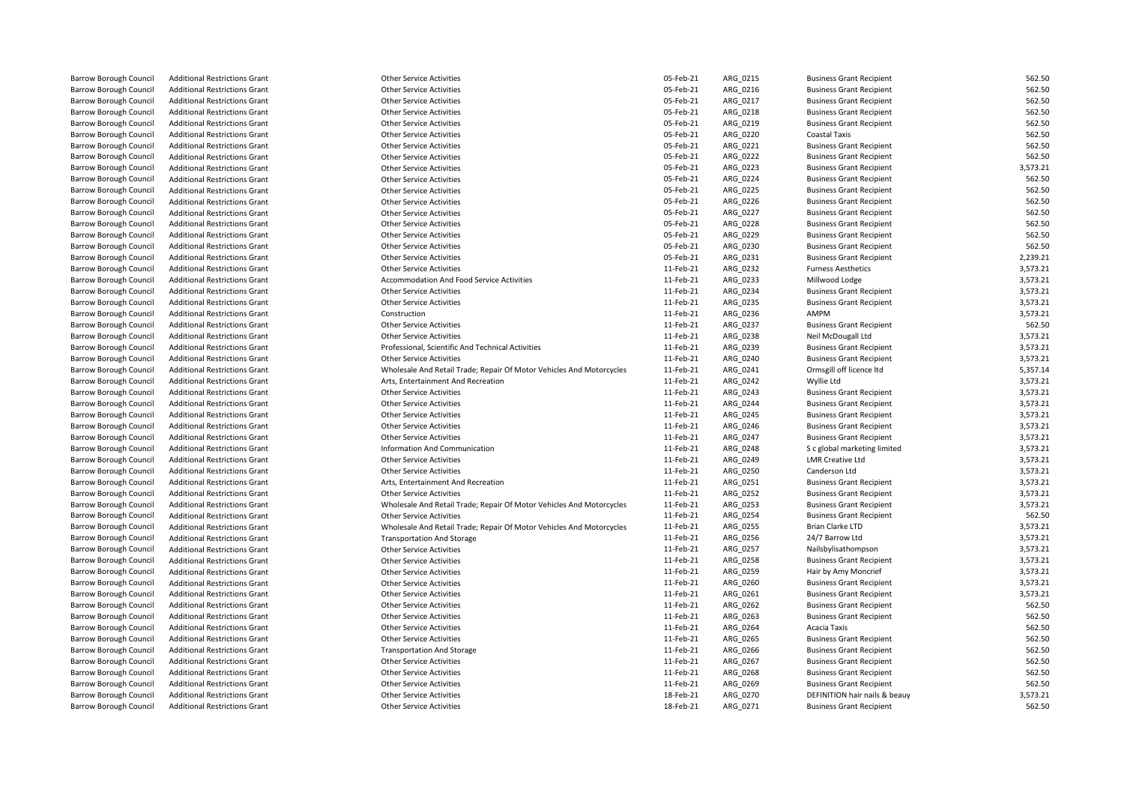| Barrow Borough Council        | <b>Additional Restrictions Grant</b> | Other Service Activities                                             | 05-Feb-21 | ARG_0215 | <b>Business Grant Recipient</b> | 562.50   |
|-------------------------------|--------------------------------------|----------------------------------------------------------------------|-----------|----------|---------------------------------|----------|
| <b>Barrow Borough Council</b> | <b>Additional Restrictions Grant</b> | <b>Other Service Activities</b>                                      | 05-Feb-21 | ARG 0216 | <b>Business Grant Recipient</b> | 562.50   |
| Barrow Borough Council        | <b>Additional Restrictions Grant</b> | <b>Other Service Activities</b>                                      | 05-Feb-21 | ARG 0217 | <b>Business Grant Recipient</b> | 562.50   |
| Barrow Borough Council        | <b>Additional Restrictions Grant</b> | <b>Other Service Activities</b>                                      | 05-Feb-21 | ARG_0218 | <b>Business Grant Recipient</b> | 562.50   |
| Barrow Borough Council        | <b>Additional Restrictions Grant</b> | <b>Other Service Activities</b>                                      | 05-Feb-21 | ARG 0219 | <b>Business Grant Recipient</b> | 562.50   |
| Barrow Borough Council        | <b>Additional Restrictions Grant</b> | Other Service Activities                                             | 05-Feb-21 | ARG 0220 | <b>Coastal Taxis</b>            | 562.50   |
| <b>Barrow Borough Council</b> | <b>Additional Restrictions Grant</b> | <b>Other Service Activities</b>                                      | 05-Feb-21 | ARG 0221 | <b>Business Grant Recipient</b> | 562.50   |
| Barrow Borough Council        | <b>Additional Restrictions Grant</b> | <b>Other Service Activities</b>                                      | 05-Feb-21 | ARG_0222 | <b>Business Grant Recipient</b> | 562.50   |
| Barrow Borough Council        | <b>Additional Restrictions Grant</b> | <b>Other Service Activities</b>                                      | 05-Feb-21 | ARG_0223 | <b>Business Grant Recipient</b> | 3,573.21 |
| Barrow Borough Council        | <b>Additional Restrictions Grant</b> | <b>Other Service Activities</b>                                      | 05-Feb-21 | ARG 0224 | <b>Business Grant Recipient</b> | 562.50   |
| Barrow Borough Council        | <b>Additional Restrictions Grant</b> | <b>Other Service Activities</b>                                      | 05-Feb-21 | ARG 0225 | <b>Business Grant Recipient</b> | 562.50   |
| <b>Barrow Borough Council</b> | <b>Additional Restrictions Grant</b> | <b>Other Service Activities</b>                                      | 05-Feb-21 | ARG 0226 | <b>Business Grant Recipient</b> | 562.50   |
| Barrow Borough Council        | <b>Additional Restrictions Grant</b> | Other Service Activities                                             | 05-Feb-21 | ARG_0227 | <b>Business Grant Recipient</b> | 562.50   |
| Barrow Borough Council        | <b>Additional Restrictions Grant</b> | <b>Other Service Activities</b>                                      | 05-Feb-21 | ARG 0228 | <b>Business Grant Recipient</b> | 562.50   |
| Barrow Borough Council        | <b>Additional Restrictions Grant</b> | <b>Other Service Activities</b>                                      | 05-Feb-21 | ARG 0229 | <b>Business Grant Recipient</b> | 562.50   |
| Barrow Borough Council        | <b>Additional Restrictions Grant</b> | <b>Other Service Activities</b>                                      | 05-Feb-21 | ARG_0230 | <b>Business Grant Recipient</b> | 562.50   |
| Barrow Borough Council        | <b>Additional Restrictions Grant</b> | <b>Other Service Activities</b>                                      | 05-Feb-21 | ARG 0231 | <b>Business Grant Recipient</b> | 2,239.21 |
| Barrow Borough Council        | <b>Additional Restrictions Grant</b> | <b>Other Service Activities</b>                                      | 11-Feb-21 | ARG 0232 | <b>Furness Aesthetics</b>       | 3,573.21 |
| Barrow Borough Council        | <b>Additional Restrictions Grant</b> | Accommodation And Food Service Activities                            | 11-Feb-21 | ARG_0233 | Millwood Lodge                  | 3,573.21 |
| Barrow Borough Council        | <b>Additional Restrictions Grant</b> | <b>Other Service Activities</b>                                      | 11-Feb-21 | ARG_0234 | <b>Business Grant Recipient</b> | 3,573.21 |
| Barrow Borough Council        | <b>Additional Restrictions Grant</b> | <b>Other Service Activities</b>                                      | 11-Feb-21 | ARG 0235 | <b>Business Grant Recipient</b> | 3,573.21 |
| <b>Barrow Borough Council</b> | <b>Additional Restrictions Grant</b> | Construction                                                         | 11-Feb-21 | ARG 0236 | AMPM                            | 3,573.21 |
| Barrow Borough Council        | <b>Additional Restrictions Grant</b> | <b>Other Service Activities</b>                                      | 11-Feb-21 | ARG_0237 | <b>Business Grant Recipient</b> | 562.50   |
| Barrow Borough Council        | <b>Additional Restrictions Grant</b> | <b>Other Service Activities</b>                                      | 11-Feb-21 | ARG_0238 | Neil McDougall Ltd              | 3,573.21 |
| Barrow Borough Council        | <b>Additional Restrictions Grant</b> | Professional, Scientific And Technical Activities                    | 11-Feb-21 | ARG_0239 | <b>Business Grant Recipient</b> | 3,573.21 |
| Barrow Borough Council        | <b>Additional Restrictions Grant</b> | <b>Other Service Activities</b>                                      | 11-Feb-21 | ARG 0240 | <b>Business Grant Recipient</b> | 3,573.21 |
| <b>Barrow Borough Council</b> | <b>Additional Restrictions Grant</b> | Wholesale And Retail Trade; Repair Of Motor Vehicles And Motorcycles | 11-Feb-21 | ARG 0241 | Ormsgill off licence Itd        | 5,357.14 |
| Barrow Borough Council        | <b>Additional Restrictions Grant</b> | Arts, Entertainment And Recreation                                   | 11-Feb-21 | ARG_0242 | Wyllie Ltd                      | 3,573.21 |
| Barrow Borough Council        | <b>Additional Restrictions Grant</b> | <b>Other Service Activities</b>                                      | 11-Feb-21 | ARG_0243 | <b>Business Grant Recipient</b> | 3,573.21 |
| Barrow Borough Council        | <b>Additional Restrictions Grant</b> | <b>Other Service Activities</b>                                      | 11-Feb-21 | ARG 0244 | <b>Business Grant Recipient</b> | 3,573.21 |
| Barrow Borough Council        | <b>Additional Restrictions Grant</b> | <b>Other Service Activities</b>                                      | 11-Feb-21 | ARG 0245 | <b>Business Grant Recipient</b> | 3,573.21 |
| <b>Barrow Borough Council</b> | <b>Additional Restrictions Grant</b> | <b>Other Service Activities</b>                                      | 11-Feb-21 | ARG 0246 | <b>Business Grant Recipient</b> | 3,573.21 |
| Barrow Borough Council        | <b>Additional Restrictions Grant</b> | <b>Other Service Activities</b>                                      | 11-Feb-21 | ARG_0247 | <b>Business Grant Recipient</b> | 3,573.21 |
| <b>Barrow Borough Council</b> | <b>Additional Restrictions Grant</b> | Information And Communication                                        | 11-Feb-21 | ARG 0248 | S c global marketing limited    | 3,573.21 |
| <b>Barrow Borough Council</b> | <b>Additional Restrictions Grant</b> | <b>Other Service Activities</b>                                      | 11-Feb-21 | ARG_0249 | <b>LMR Creative Ltd</b>         | 3,573.21 |
| Barrow Borough Council        | <b>Additional Restrictions Grant</b> | <b>Other Service Activities</b>                                      | 11-Feb-21 | ARG_0250 | Canderson Ltd                   | 3,573.21 |
| <b>Barrow Borough Council</b> | <b>Additional Restrictions Grant</b> | Arts, Entertainment And Recreation                                   | 11-Feb-21 | ARG 0251 | <b>Business Grant Recipient</b> | 3,573.21 |
| Barrow Borough Council        | <b>Additional Restrictions Grant</b> | <b>Other Service Activities</b>                                      | 11-Feb-21 | ARG_0252 | <b>Business Grant Recipient</b> | 3,573.21 |
| <b>Barrow Borough Council</b> | <b>Additional Restrictions Grant</b> | Wholesale And Retail Trade; Repair Of Motor Vehicles And Motorcycles | 11-Feb-21 | ARG_0253 | <b>Business Grant Recipient</b> | 3,573.21 |
| <b>Barrow Borough Council</b> | <b>Additional Restrictions Grant</b> | <b>Other Service Activities</b>                                      | 11-Feb-21 | ARG_0254 | <b>Business Grant Recipient</b> | 562.50   |
| Barrow Borough Council        | <b>Additional Restrictions Grant</b> | Wholesale And Retail Trade; Repair Of Motor Vehicles And Motorcycles | 11-Feb-21 | ARG_0255 | Brian Clarke LTD                | 3,573.21 |
| Barrow Borough Council        | <b>Additional Restrictions Grant</b> | <b>Transportation And Storage</b>                                    | 11-Feb-21 | ARG 0256 | 24/7 Barrow Ltd                 | 3,573.21 |
| Barrow Borough Council        | <b>Additional Restrictions Grant</b> | <b>Other Service Activities</b>                                      | 11-Feb-21 | ARG_0257 | Nailsbylisathompson             | 3,573.21 |
| Barrow Borough Council        | <b>Additional Restrictions Grant</b> | <b>Other Service Activities</b>                                      | 11-Feb-21 | ARG_0258 | <b>Business Grant Recipient</b> | 3,573.21 |
| Barrow Borough Council        | <b>Additional Restrictions Grant</b> | <b>Other Service Activities</b>                                      | 11-Feb-21 | ARG_0259 | Hair by Amy Moncrief            | 3,573.21 |
| <b>Barrow Borough Council</b> | <b>Additional Restrictions Grant</b> | <b>Other Service Activities</b>                                      | 11-Feb-21 | ARG 0260 | <b>Business Grant Recipient</b> | 3,573.21 |
| Barrow Borough Council        | <b>Additional Restrictions Grant</b> | <b>Other Service Activities</b>                                      | 11-Feb-21 | ARG 0261 | <b>Business Grant Recipient</b> | 3,573.21 |
| Barrow Borough Council        | <b>Additional Restrictions Grant</b> | <b>Other Service Activities</b>                                      | 11-Feb-21 | ARG_0262 | <b>Business Grant Recipient</b> | 562.50   |
| Barrow Borough Council        | <b>Additional Restrictions Grant</b> | <b>Other Service Activities</b>                                      | 11-Feb-21 | ARG 0263 | <b>Business Grant Recipient</b> | 562.50   |
| Barrow Borough Council        | <b>Additional Restrictions Grant</b> | <b>Other Service Activities</b>                                      | 11-Feb-21 | ARG_0264 | Acacia Taxis                    | 562.50   |
| Barrow Borough Council        | <b>Additional Restrictions Grant</b> | <b>Other Service Activities</b>                                      | 11-Feb-21 | ARG_0265 | <b>Business Grant Recipient</b> | 562.50   |
| <b>Barrow Borough Council</b> | <b>Additional Restrictions Grant</b> | <b>Transportation And Storage</b>                                    | 11-Feb-21 | ARG 0266 | <b>Business Grant Recipient</b> | 562.50   |
| <b>Barrow Borough Council</b> | <b>Additional Restrictions Grant</b> | <b>Other Service Activities</b>                                      | 11-Feb-21 | ARG_0267 | <b>Business Grant Recipient</b> | 562.50   |
| <b>Barrow Borough Council</b> | <b>Additional Restrictions Grant</b> | <b>Other Service Activities</b>                                      | 11-Feb-21 | ARG 0268 | <b>Business Grant Recipient</b> | 562.50   |
| <b>Barrow Borough Council</b> | <b>Additional Restrictions Grant</b> | <b>Other Service Activities</b>                                      | 11-Feb-21 | ARG_0269 | <b>Business Grant Recipient</b> | 562.50   |
| Barrow Borough Council        | <b>Additional Restrictions Grant</b> | <b>Other Service Activities</b>                                      | 18-Feb-21 | ARG 0270 | DEFINITION hair nails & beauy   | 3,573.21 |
| <b>Barrow Borough Council</b> | <b>Additional Restrictions Grant</b> | <b>Other Service Activities</b>                                      | 18-Feb-21 | ARG 0271 | <b>Business Grant Recipient</b> | 562.50   |
|                               |                                      |                                                                      |           |          |                                 |          |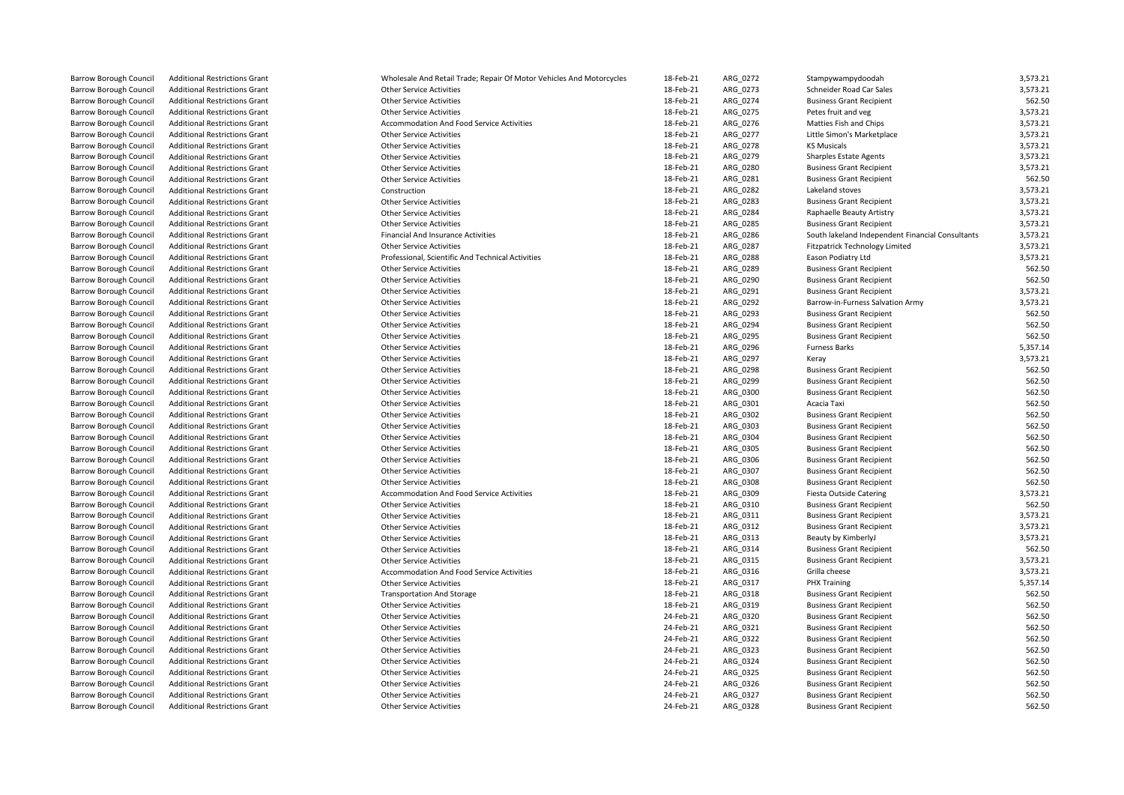| <b>Barrow Borough Council</b> | <b>Additional Restrictions Grant</b> | Wholesale And Retail Trade; Repair Of Motor Vehicles And Motorcycles | 18-Feb-21 | ARG_0272 | Stampywampydoodah                                | 3,573.21 |
|-------------------------------|--------------------------------------|----------------------------------------------------------------------|-----------|----------|--------------------------------------------------|----------|
| <b>Barrow Borough Council</b> | <b>Additional Restrictions Grant</b> | <b>Other Service Activities</b>                                      | 18-Feb-21 | ARG 0273 | Schneider Road Car Sales                         | 3,573.21 |
| <b>Barrow Borough Council</b> | <b>Additional Restrictions Grant</b> | <b>Other Service Activities</b>                                      | 18-Feb-21 | ARG_0274 | <b>Business Grant Recipient</b>                  | 562.50   |
| <b>Barrow Borough Council</b> | <b>Additional Restrictions Grant</b> | <b>Other Service Activities</b>                                      | 18-Feb-21 | ARG_0275 | Petes fruit and veg                              | 3,573.21 |
| <b>Barrow Borough Council</b> | <b>Additional Restrictions Grant</b> | Accommodation And Food Service Activities                            | 18-Feb-21 | ARG 0276 | Matties Fish and Chips                           | 3,573.21 |
| <b>Barrow Borough Council</b> | <b>Additional Restrictions Grant</b> | <b>Other Service Activities</b>                                      | 18-Feb-21 | ARG 0277 | Little Simon's Marketplace                       | 3,573.21 |
| <b>Barrow Borough Council</b> | <b>Additional Restrictions Grant</b> | <b>Other Service Activities</b>                                      | 18-Feb-21 | ARG_0278 | <b>KS Musicals</b>                               | 3,573.21 |
| <b>Barrow Borough Council</b> | <b>Additional Restrictions Grant</b> | <b>Other Service Activities</b>                                      | 18-Feb-21 | ARG_0279 | <b>Sharples Estate Agents</b>                    | 3,573.21 |
| <b>Barrow Borough Council</b> | <b>Additional Restrictions Grant</b> | <b>Other Service Activities</b>                                      | 18-Feb-21 | ARG 0280 | <b>Business Grant Recipient</b>                  | 3,573.21 |
| <b>Barrow Borough Council</b> | <b>Additional Restrictions Grant</b> | <b>Other Service Activities</b>                                      | 18-Feb-21 | ARG 0281 | <b>Business Grant Recipient</b>                  | 562.50   |
| <b>Barrow Borough Council</b> | <b>Additional Restrictions Grant</b> | Construction                                                         | 18-Feb-21 | ARG_0282 | Lakeland stoves                                  | 3,573.21 |
| <b>Barrow Borough Council</b> | <b>Additional Restrictions Grant</b> | <b>Other Service Activities</b>                                      | 18-Feb-21 | ARG 0283 | <b>Business Grant Recipient</b>                  | 3,573.21 |
| <b>Barrow Borough Council</b> | <b>Additional Restrictions Grant</b> | <b>Other Service Activities</b>                                      | 18-Feb-21 | ARG 0284 | Raphaelle Beauty Artistry                        | 3,573.21 |
| <b>Barrow Borough Council</b> | <b>Additional Restrictions Grant</b> | <b>Other Service Activities</b>                                      | 18-Feb-21 | ARG_0285 | <b>Business Grant Recipient</b>                  | 3,573.21 |
| <b>Barrow Borough Council</b> | <b>Additional Restrictions Grant</b> | <b>Financial And Insurance Activities</b>                            | 18-Feb-21 | ARG 0286 | South lakeland Independent Financial Consultants | 3,573.21 |
| <b>Barrow Borough Council</b> | <b>Additional Restrictions Grant</b> | <b>Other Service Activities</b>                                      | 18-Feb-21 | ARG_0287 | Fitzpatrick Technology Limited                   | 3,573.21 |
| <b>Barrow Borough Council</b> | <b>Additional Restrictions Grant</b> | Professional, Scientific And Technical Activities                    | 18-Feb-21 |          | Eason Podiatry Ltd                               | 3,573.21 |
|                               |                                      | <b>Other Service Activities</b>                                      |           | ARG 0288 | <b>Business Grant Recipient</b>                  | 562.50   |
| <b>Barrow Borough Council</b> | <b>Additional Restrictions Grant</b> |                                                                      | 18-Feb-21 | ARG_0289 |                                                  | 562.50   |
| Barrow Borough Council        | <b>Additional Restrictions Grant</b> | <b>Other Service Activities</b>                                      | 18-Feb-21 | ARG_0290 | <b>Business Grant Recipient</b>                  |          |
| Barrow Borough Council        | <b>Additional Restrictions Grant</b> | <b>Other Service Activities</b>                                      | 18-Feb-21 | ARG 0291 | <b>Business Grant Recipient</b>                  | 3,573.21 |
| <b>Barrow Borough Council</b> | <b>Additional Restrictions Grant</b> | <b>Other Service Activities</b>                                      | 18-Feb-21 | ARG_0292 | Barrow-in-Furness Salvation Army                 | 3,573.21 |
| <b>Barrow Borough Council</b> | <b>Additional Restrictions Grant</b> | <b>Other Service Activities</b>                                      | 18-Feb-21 | ARG 0293 | <b>Business Grant Recipient</b>                  | 562.50   |
| <b>Barrow Borough Council</b> | <b>Additional Restrictions Grant</b> | <b>Other Service Activities</b>                                      | 18-Feb-21 | ARG_0294 | <b>Business Grant Recipient</b>                  | 562.50   |
| <b>Barrow Borough Council</b> | <b>Additional Restrictions Grant</b> | <b>Other Service Activities</b>                                      | 18-Feb-21 | ARG_0295 | <b>Business Grant Recipient</b>                  | 562.50   |
| <b>Barrow Borough Council</b> | <b>Additional Restrictions Grant</b> | <b>Other Service Activities</b>                                      | 18-Feb-21 | ARG 0296 | <b>Furness Barks</b>                             | 5,357.14 |
| Barrow Borough Council        | <b>Additional Restrictions Grant</b> | <b>Other Service Activities</b>                                      | 18-Feb-21 | ARG_0297 | Keray                                            | 3,573.21 |
| <b>Barrow Borough Council</b> | <b>Additional Restrictions Grant</b> | <b>Other Service Activities</b>                                      | 18-Feb-21 | ARG 0298 | <b>Business Grant Recipient</b>                  | 562.50   |
| <b>Barrow Borough Council</b> | <b>Additional Restrictions Grant</b> | <b>Other Service Activities</b>                                      | 18-Feb-21 | ARG 0299 | <b>Business Grant Recipient</b>                  | 562.50   |
| <b>Barrow Borough Council</b> | <b>Additional Restrictions Grant</b> | <b>Other Service Activities</b>                                      | 18-Feb-21 | ARG 0300 | <b>Business Grant Recipient</b>                  | 562.50   |
| <b>Barrow Borough Council</b> | <b>Additional Restrictions Grant</b> | <b>Other Service Activities</b>                                      | 18-Feb-21 | ARG 0301 | Acacia Taxi                                      | 562.50   |
| <b>Barrow Borough Council</b> | <b>Additional Restrictions Grant</b> | <b>Other Service Activities</b>                                      | 18-Feb-21 | ARG_0302 | <b>Business Grant Recipient</b>                  | 562.50   |
| <b>Barrow Borough Council</b> | <b>Additional Restrictions Grant</b> | <b>Other Service Activities</b>                                      | 18-Feb-21 | ARG 0303 | <b>Business Grant Recipient</b>                  | 562.50   |
| <b>Barrow Borough Council</b> | <b>Additional Restrictions Grant</b> | <b>Other Service Activities</b>                                      | 18-Feb-21 | ARG_0304 | <b>Business Grant Recipient</b>                  | 562.50   |
| <b>Barrow Borough Council</b> | <b>Additional Restrictions Grant</b> | <b>Other Service Activities</b>                                      | 18-Feb-21 | ARG 0305 | <b>Business Grant Recipient</b>                  | 562.50   |
| <b>Barrow Borough Council</b> | <b>Additional Restrictions Grant</b> | <b>Other Service Activities</b>                                      | 18-Feb-21 | ARG 0306 | <b>Business Grant Recipient</b>                  | 562.50   |
| <b>Barrow Borough Council</b> | <b>Additional Restrictions Grant</b> | <b>Other Service Activities</b>                                      | 18-Feb-21 | ARG_0307 | <b>Business Grant Recipient</b>                  | 562.50   |
| <b>Barrow Borough Council</b> | <b>Additional Restrictions Grant</b> | <b>Other Service Activities</b>                                      | 18-Feb-21 | ARG 0308 | <b>Business Grant Recipient</b>                  | 562.50   |
| <b>Barrow Borough Council</b> | <b>Additional Restrictions Grant</b> | Accommodation And Food Service Activities                            | 18-Feb-21 | ARG_0309 | <b>Fiesta Outside Catering</b>                   | 3,573.21 |
| <b>Barrow Borough Council</b> | <b>Additional Restrictions Grant</b> | <b>Other Service Activities</b>                                      | 18-Feb-21 | ARG 0310 | <b>Business Grant Recipient</b>                  | 562.50   |
| <b>Barrow Borough Council</b> | <b>Additional Restrictions Grant</b> | <b>Other Service Activities</b>                                      | 18-Feb-21 | ARG 0311 | <b>Business Grant Recipient</b>                  | 3,573.21 |
| <b>Barrow Borough Council</b> | <b>Additional Restrictions Grant</b> | <b>Other Service Activities</b>                                      | 18-Feb-21 | ARG 0312 | <b>Business Grant Recipient</b>                  | 3,573.21 |
| Barrow Borough Council        | <b>Additional Restrictions Grant</b> | <b>Other Service Activities</b>                                      | 18-Feb-21 | ARG_0313 | Beauty by KimberlyJ                              | 3,573.21 |
| <b>Barrow Borough Council</b> | <b>Additional Restrictions Grant</b> | <b>Other Service Activities</b>                                      | 18-Feb-21 | ARG_0314 | <b>Business Grant Recipient</b>                  | 562.50   |
| <b>Barrow Borough Council</b> | <b>Additional Restrictions Grant</b> | <b>Other Service Activities</b>                                      | 18-Feb-21 | ARG 0315 | <b>Business Grant Recipient</b>                  | 3,573.21 |
| <b>Barrow Borough Council</b> | <b>Additional Restrictions Grant</b> | <b>Accommodation And Food Service Activities</b>                     | 18-Feb-21 | ARG 0316 | Grilla cheese                                    | 3,573.21 |
| <b>Barrow Borough Council</b> | <b>Additional Restrictions Grant</b> | <b>Other Service Activities</b>                                      | 18-Feb-21 | ARG_0317 | <b>PHX Training</b>                              | 5,357.14 |
| <b>Barrow Borough Council</b> | <b>Additional Restrictions Grant</b> | <b>Transportation And Storage</b>                                    | 18-Feb-21 | ARG 0318 | <b>Business Grant Recipient</b>                  | 562.50   |
| <b>Barrow Borough Council</b> | <b>Additional Restrictions Grant</b> | <b>Other Service Activities</b>                                      | 18-Feb-21 | ARG_0319 | <b>Business Grant Recipient</b>                  | 562.50   |
| <b>Barrow Borough Council</b> | <b>Additional Restrictions Grant</b> | <b>Other Service Activities</b>                                      | 24-Feb-21 | ARG 0320 | <b>Business Grant Recipient</b>                  | 562.50   |
| <b>Barrow Borough Council</b> | <b>Additional Restrictions Grant</b> | <b>Other Service Activities</b>                                      | 24-Feb-21 | ARG 0321 | <b>Business Grant Recipient</b>                  | 562.50   |
| <b>Barrow Borough Council</b> | <b>Additional Restrictions Grant</b> | <b>Other Service Activities</b>                                      | 24-Feb-21 | ARG_0322 | <b>Business Grant Recipient</b>                  | 562.50   |
| <b>Barrow Borough Council</b> | <b>Additional Restrictions Grant</b> | <b>Other Service Activities</b>                                      | 24-Feb-21 | ARG 0323 | <b>Business Grant Recipient</b>                  | 562.50   |
| <b>Barrow Borough Council</b> | <b>Additional Restrictions Grant</b> | <b>Other Service Activities</b>                                      | 24-Feb-21 | ARG_0324 | <b>Business Grant Recipient</b>                  | 562.50   |
|                               | <b>Additional Restrictions Grant</b> | <b>Other Service Activities</b>                                      | 24-Feb-21 |          | <b>Business Grant Recipient</b>                  | 562.50   |
| <b>Barrow Borough Council</b> |                                      |                                                                      |           | ARG_0325 |                                                  | 562.50   |
| <b>Barrow Borough Council</b> | <b>Additional Restrictions Grant</b> | <b>Other Service Activities</b>                                      | 24-Feb-21 | ARG_0326 | <b>Business Grant Recipient</b>                  |          |
| <b>Barrow Borough Council</b> | <b>Additional Restrictions Grant</b> | <b>Other Service Activities</b>                                      | 24-Feb-21 | ARG 0327 | <b>Business Grant Recipient</b>                  | 562.50   |
| <b>Barrow Borough Council</b> | <b>Additional Restrictions Grant</b> | <b>Other Service Activities</b>                                      | 24-Feb-21 | ARG 0328 | <b>Business Grant Recipient</b>                  | 562.50   |